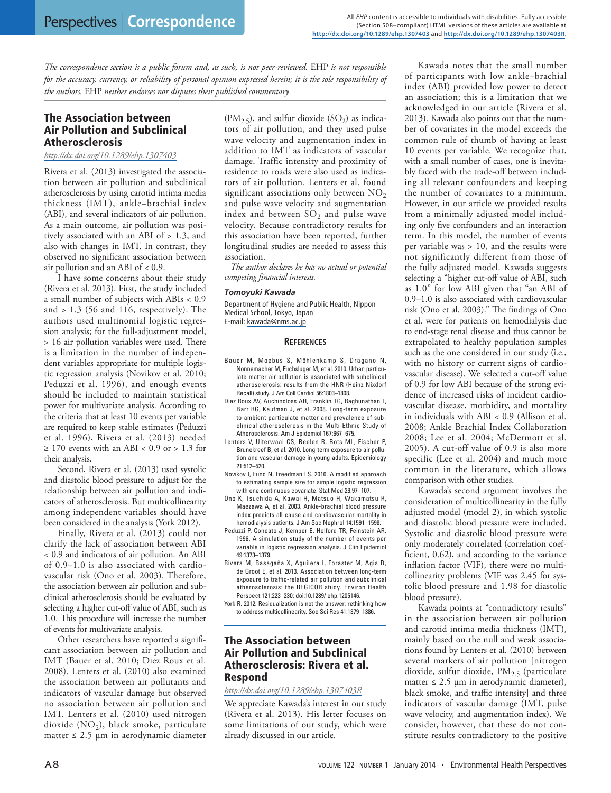*The correspondence section is a public forum and, as such, is not peer-reviewed.* EHP *is not responsible for the accuracy, currency, or reliability of personal opinion expressed herein; it is the sole responsibility of the authors.* EHP *neither endorses nor disputes their published commentary.*

## The Association between Air Pollution and Subclinical Atherosclerosis

## *<http://dx.doi.org/10.1289/ehp.1307403>*

Rivera et al. (2013) investigated the association between air pollution and subclinical atherosclerosis by using carotid intima media thickness (IMT), ankle–brachial index (ABI), and several indicators of air pollution. As a main outcome, air pollution was positively associated with an ABI of > 1.3, and also with changes in IMT. In contrast, they observed no significant association between air pollution and an ABI of < 0.9.

I have some concerns about their study (Rivera et al. 2013). First, the study included a small number of subjects with ABIs < 0.9 and  $> 1.3$  (56 and 116, respectively). The authors used multinomial logistic regression analysis; for the full-adjustment model, > 16 air pollution variables were used. There is a limitation in the number of independent variables appropriate for multiple logistic regression analysis (Novikov et al. 2010; Peduzzi et al. 1996), and enough events should be included to maintain statistical power for multivariate analysis. According to the criteria that at least 10 events per variable are required to keep stable estimates (Peduzzi et al. 1996), Rivera et al. (2013) needed  $\geq$  170 events with an ABI < 0.9 or > 1.3 for their analysis.

Second, Rivera et al. (2013) used systolic and diastolic blood pressure to adjust for the relationship between air pollution and indicators of atherosclerosis. But multicollinearity among independent variables should have been considered in the analysis (York 2012).

Finally, Rivera et al. (2013) could not clarify the lack of association between ABI < 0.9 and indicators of air pollution. An ABI of 0.9–1.0 is also associated with cardiovascular risk (Ono et al. 2003). Therefore, the association between air pollution and subclinical atherosclerosis should be evaluated by selecting a higher cut-off value of ABI, such as 1.0. This procedure will increase the number of events for multivariate analysis.

Other researchers have reported a significant association between air pollution and IMT (Bauer et al. 2010; Diez Roux et al. 2008). Lenters et al. (2010) also examined the association between air pollutants and indicators of vascular damage but observed no association between air pollution and IMT. Lenters et al. (2010) used nitrogen dioxide (NO<sub>2</sub>), black smoke, particulate matter  $\leq 2.5$  µm in aerodynamic diameter  $(PM_{2.5})$ , and sulfur dioxide  $(SO_2)$  as indicators of air pollution, and they used pulse wave velocity and augmentation index in addition to IMT as indicators of vascular damage. Traffic intensity and proximity of residence to roads were also used as indicators of air pollution. Lenters et al. found significant associations only between  $NO<sub>2</sub>$ and pulse wave velocity and augmentation index and between  $SO_2$  and pulse wave velocity. Because contradictory results for this association have been reported, further longitudinal studies are needed to assess this association.

*The author declares he has no actual or potential competing financial interests.*

### *Tomoyuki Kawada*

Department of Hygiene and Public Health, Nippon Medical School, Tokyo, Japan E-mail: [kawada@nms.ac.jp](mailto:kawada@nms.ac.jp)

#### **References**

- Bauer M, Moebus S, Möhlenkamp S, Dragano N, Nonnemacher M, Fuchsluger M, et al. 2010. Urban particulate matter air pollution is associated with subclinical atherosclerosis: results from the HNR (Heinz Nixdorf Recall) study. J Am Coll Cardiol 56:1803–1808.
- Diez Roux AV, Auchincloss AH, Franklin TG, Raghunathan T, Barr RG, Kaufman J, et al. 2008. Long-term exposure to ambient particulate matter and prevalence of subclinical atherosclerosis in the Multi-Ethnic Study of Atherosclerosis. Am J Epidemiol 167:667–675.
- Lenters V, Uiterwaal CS, Beelen R, Bots ML, Fischer P, Brunekreef B, et al. 2010. Long-term exposure to air pollution and vascular damage in young adults. Epidemiology 21:512–520.
- Novikov I, Fund N, Freedman LS. 2010. A modified approach to estimating sample size for simple logistic regression with one continuous covariate. Stat Med 29:97–107.
- Ono K, Tsuchida A, Kawai H, Matsuo H, Wakamatsu R, Maezawa A, et al. 2003. Ankle-brachial blood pressure index predicts all-cause and cardiovascular mortality in hemodialysis patients. J Am Soc Nephrol 14:1591–1598.
- Peduzzi P, Concato J, Kemper E, Holford TR, Feinstein AR. 1996. A simulation study of the number of events per variable in logistic regression analysis. J Clin Epidemiol 49:1373–1379.
- Rivera M, Basagaña X, Aguilera I, Foraster M, Agis D, de Groot E, et al. 2013. Association between long-term exposure to traffic-related air pollution and subclinical atherosclerosis: the REGICOR study. Environ Health Perspect 121:223–230; doi:10.1289/ ehp.1205146.
- York R. 2012. Residualization is not the answer: rethinking how to address multicollinearity. Soc Sci Res 41:1379–1386.

# The Association between Air Pollution and Subclinical Atherosclerosis: Rivera et al. Respond

### *<http://dx.doi.org/10.1289/ehp.1307403R>*

We appreciate Kawada's interest in our study (Rivera et al. 2013). His letter focuses on some limitations of our study, which were already discussed in our article.

Kawada notes that the small number of participants with low ankle–brachial index (ABI) provided low power to detect an association; this is a limitation that we acknowledged in our article (Rivera et al. 2013). Kawada also points out that the number of covariates in the model exceeds the common rule of thumb of having at least 10 events per variable. We recognize that, with a small number of cases, one is inevitably faced with the trade-off between including all relevant confounders and keeping the number of covariates to a minimum. However, in our article we provided results from a minimally adjusted model including only five confounders and an interaction term. In this model, the number of events per variable was > 10, and the results were not significantly different from those of the fully adjusted model. Kawada suggests selecting a "higher cut-off value of ABI, such as 1.0" for low ABI given that "an ABI of 0.9–1.0 is also associated with cardiovascular risk (Ono et al. 2003)." The findings of Ono et al. were for patients on hemodialysis due to end-stage renal disease and thus cannot be extrapolated to healthy population samples such as the one considered in our study (i.e., with no history or current signs of cardiovascular disease). We selected a cut-off value of 0.9 for low ABI because of the strong evidence of increased risks of incident cardiovascular disease, morbidity, and mortality in individuals with ABI < 0.9 (Allison et al. 2008; Ankle Brachial Index Collaboration 2008; Lee et al. 2004; McDermott et al. 2005). A cut-off value of 0.9 is also more specific (Lee et al. 2004) and much more common in the literature, which allows comparison with other studies.

Kawada's second argument involves the consideration of multicollinearity in the fully adjusted model (model 2), in which systolic and diastolic blood pressure were included. Systolic and diastolic blood pressure were only moderately correlated (correlation coefficient, 0.62), and according to the variance inflation factor (VIF), there were no multicollinearity problems (VIF was 2.45 for systolic blood pressure and 1.98 for diastolic blood pressure).

Kawada points at "contradictory results" in the association between air pollution and carotid intima media thickness (IMT), mainly based on the null and weak associations found by Lenters et al. (2010) between several markers of air pollution [nitrogen dioxide, sulfur dioxide,  $PM_{2.5}$  (particulate matter  $\leq$  2.5 µm in aerodynamic diameter), black smoke, and traffic intensity] and three indicators of vascular damage (IMT, pulse wave velocity, and augmentation index). We consider, however, that these do not constitute results contradictory to the positive